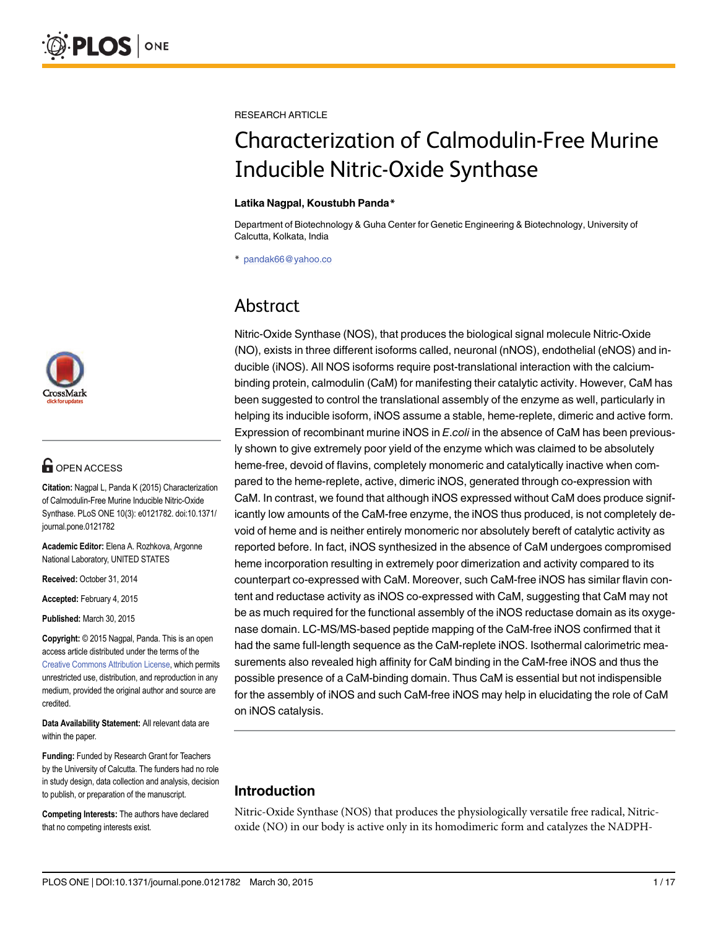

# **G** OPEN ACCESS

Citation: Nagpal L, Panda K (2015) Characterization of Calmodulin-Free Murine Inducible Nitric-Oxide Synthase. PLoS ONE 10(3): e0121782. doi:10.1371/ journal.pone.0121782

Academic Editor: Elena A. Rozhkova, Argonne National Laboratory, UNITED STATES

Received: October 31, 2014

Accepted: February 4, 2015

Published: March 30, 2015

Copyright: © 2015 Nagpal, Panda. This is an open access article distributed under the terms of the [Creative Commons Attribution License,](http://creativecommons.org/licenses/by/4.0/) which permits unrestricted use, distribution, and reproduction in any medium, provided the original author and source are credited.

Data Availability Statement: All relevant data are within the paper.

Funding: Funded by Research Grant for Teachers by the University of Calcutta. The funders had no role in study design, data collection and analysis, decision to publish, or preparation of the manuscript.

Competing Interests: The authors have declared that no competing interests exist.

RESEARCH ARTICLE

# Characterization of Calmodulin-Free Murine Inducible Nitric-Oxide Synthase

#### Latika Nagpal, Koustubh Panda\*

Department of Biotechnology & Guha Center for Genetic Engineering & Biotechnology, University of Calcutta, Kolkata, India

\* pandak66@yahoo.co

# Abstract

Nitric-Oxide Synthase (NOS), that produces the biological signal molecule Nitric-Oxide (NO), exists in three different isoforms called, neuronal (nNOS), endothelial (eNOS) and inducible (iNOS). All NOS isoforms require post-translational interaction with the calciumbinding protein, calmodulin (CaM) for manifesting their catalytic activity. However, CaM has been suggested to control the translational assembly of the enzyme as well, particularly in helping its inducible isoform, iNOS assume a stable, heme-replete, dimeric and active form. Expression of recombinant murine iNOS in E.coli in the absence of CaM has been previously shown to give extremely poor yield of the enzyme which was claimed to be absolutely heme-free, devoid of flavins, completely monomeric and catalytically inactive when compared to the heme-replete, active, dimeric iNOS, generated through co-expression with CaM. In contrast, we found that although iNOS expressed without CaM does produce significantly low amounts of the CaM-free enzyme, the iNOS thus produced, is not completely devoid of heme and is neither entirely monomeric nor absolutely bereft of catalytic activity as reported before. In fact, iNOS synthesized in the absence of CaM undergoes compromised heme incorporation resulting in extremely poor dimerization and activity compared to its counterpart co-expressed with CaM. Moreover, such CaM-free iNOS has similar flavin content and reductase activity as iNOS co-expressed with CaM, suggesting that CaM may not be as much required for the functional assembly of the iNOS reductase domain as its oxygenase domain. LC-MS/MS-based peptide mapping of the CaM-free iNOS confirmed that it had the same full-length sequence as the CaM-replete iNOS. Isothermal calorimetric measurements also revealed high affinity for CaM binding in the CaM-free iNOS and thus the possible presence of a CaM-binding domain. Thus CaM is essential but not indispensible for the assembly of iNOS and such CaM-free iNOS may help in elucidating the role of CaM on iNOS catalysis.

# Introduction

Nitric-Oxide Synthase (NOS) that produces the physiologically versatile free radical, Nitricoxide (NO) in our body is active only in its homodimeric form and catalyzes the NADPH-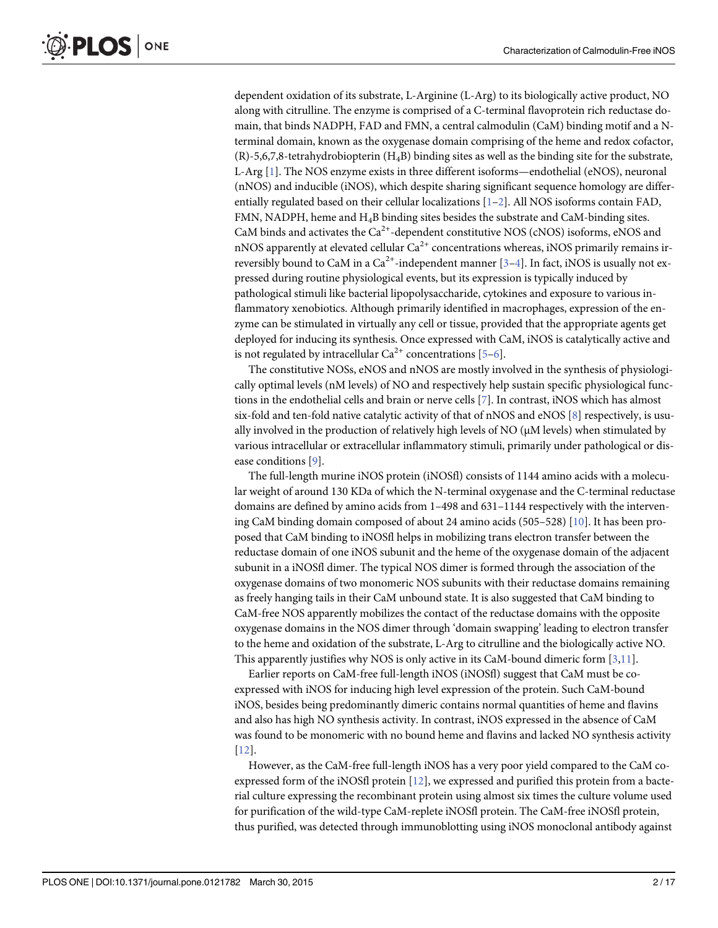<span id="page-1-0"></span>dependent oxidation of its substrate, L-Arginine (L-Arg) to its biologically active product, NO along with citrulline. The enzyme is comprised of a C-terminal flavoprotein rich reductase domain, that binds NADPH, FAD and FMN, a central calmodulin (CaM) binding motif and a Nterminal domain, known as the oxygenase domain comprising of the heme and redox cofactor,  $(R)$ -5,6,7,8-tetrahydrobiopterin  $(H<sub>A</sub>B)$  binding sites as well as the binding site for the substrate, L-Arg [[1](#page-15-0)]. The NOS enzyme exists in three different isoforms—endothelial (eNOS), neuronal (nNOS) and inducible (iNOS), which despite sharing significant sequence homology are differentially regulated based on their cellular localizations  $[1–2]$  $[1–2]$  $[1–2]$ . All NOS isoforms contain FAD, FMN, NADPH, heme and H4B binding sites besides the substrate and CaM-binding sites. CaM binds and activates the  $Ca^{2+}$ -dependent constitutive NOS (cNOS) isoforms, eNOS and nNOS apparently at elevated cellular  $Ca^{2+}$  concentrations whereas, iNOS primarily remains irreversibly bound to CaM in a Ca<sup>2+</sup>-independent manner  $[3-4]$  $[3-4]$  $[3-4]$  $[3-4]$ . In fact, iNOS is usually not expressed during routine physiological events, but its expression is typically induced by pathological stimuli like bacterial lipopolysaccharide, cytokines and exposure to various inflammatory xenobiotics. Although primarily identified in macrophages, expression of the enzyme can be stimulated in virtually any cell or tissue, provided that the appropriate agents get deployed for inducing its synthesis. Once expressed with CaM, iNOS is catalytically active and is not regulated by intracellular  $Ca^{2+}$  concentrations [\[5](#page-15-0)–[6\]](#page-16-0).

The constitutive NOSs, eNOS and nNOS are mostly involved in the synthesis of physiologically optimal levels (nM levels) of NO and respectively help sustain specific physiological functions in the endothelial cells and brain or nerve cells [[7\]](#page-16-0). In contrast, iNOS which has almost six-fold and ten-fold native catalytic activity of that of nNOS and eNOS [[8\]](#page-16-0) respectively, is usually involved in the production of relatively high levels of NO (μM levels) when stimulated by various intracellular or extracellular inflammatory stimuli, primarily under pathological or disease conditions [\[9](#page-16-0)].

The full-length murine iNOS protein (iNOSfl) consists of 1144 amino acids with a molecular weight of around 130 KDa of which the N-terminal oxygenase and the C-terminal reductase domains are defined by amino acids from 1–498 and 631–1144 respectively with the intervening CaM binding domain composed of about 24 amino acids (505–528) [[10](#page-16-0)]. It has been proposed that CaM binding to iNOSfl helps in mobilizing trans electron transfer between the reductase domain of one iNOS subunit and the heme of the oxygenase domain of the adjacent subunit in a iNOSfl dimer. The typical NOS dimer is formed through the association of the oxygenase domains of two monomeric NOS subunits with their reductase domains remaining as freely hanging tails in their CaM unbound state. It is also suggested that CaM binding to CaM-free NOS apparently mobilizes the contact of the reductase domains with the opposite oxygenase domains in the NOS dimer through 'domain swapping' leading to electron transfer to the heme and oxidation of the substrate, L-Arg to citrulline and the biologically active NO. This apparently justifies why NOS is only active in its CaM-bound dimeric form [\[3](#page-15-0)[,11\]](#page-16-0).

Earlier reports on CaM-free full-length iNOS (iNOSfl) suggest that CaM must be coexpressed with iNOS for inducing high level expression of the protein. Such CaM-bound iNOS, besides being predominantly dimeric contains normal quantities of heme and flavins and also has high NO synthesis activity. In contrast, iNOS expressed in the absence of CaM was found to be monomeric with no bound heme and flavins and lacked NO synthesis activity [\[12](#page-16-0)].

However, as the CaM-free full-length iNOS has a very poor yield compared to the CaM coexpressed form of the iNOSfl protein [[12\]](#page-16-0), we expressed and purified this protein from a bacterial culture expressing the recombinant protein using almost six times the culture volume used for purification of the wild-type CaM-replete iNOSfl protein. The CaM-free iNOSfl protein, thus purified, was detected through immunoblotting using iNOS monoclonal antibody against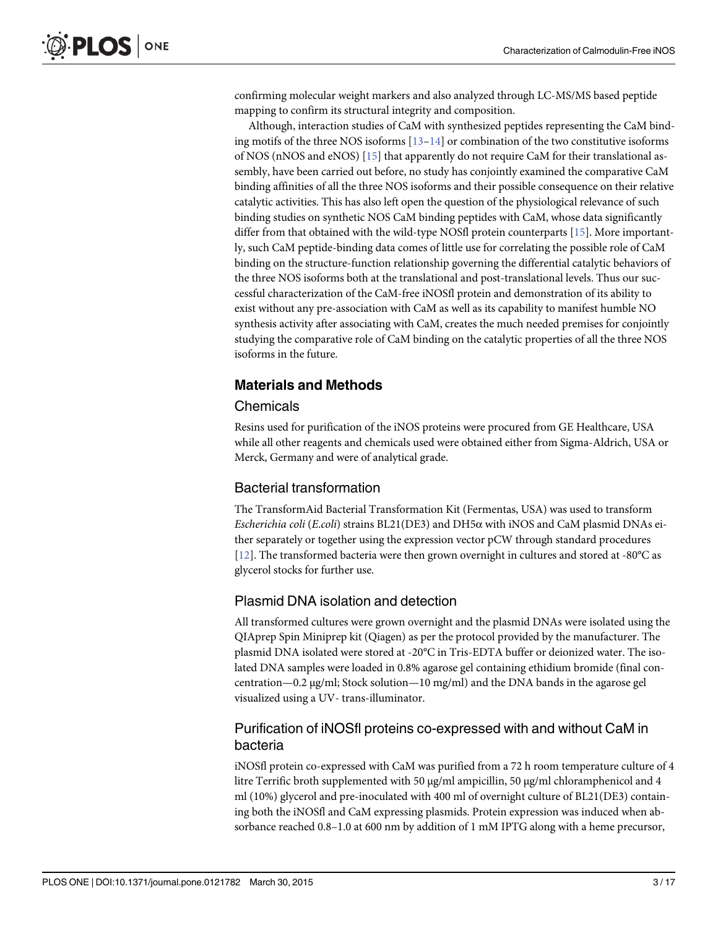<span id="page-2-0"></span>confirming molecular weight markers and also analyzed through LC-MS/MS based peptide mapping to confirm its structural integrity and composition.

Although, interaction studies of CaM with synthesized peptides representing the CaM binding motifs of the three NOS isoforms  $[13-14]$  $[13-14]$  $[13-14]$  $[13-14]$  or combination of the two constitutive isoforms of NOS (nNOS and eNOS) [\[15\]](#page-16-0) that apparently do not require CaM for their translational assembly, have been carried out before, no study has conjointly examined the comparative CaM binding affinities of all the three NOS isoforms and their possible consequence on their relative catalytic activities. This has also left open the question of the physiological relevance of such binding studies on synthetic NOS CaM binding peptides with CaM, whose data significantly differ from that obtained with the wild-type NOSfl protein counterparts [[15](#page-16-0)]. More importantly, such CaM peptide-binding data comes of little use for correlating the possible role of CaM binding on the structure-function relationship governing the differential catalytic behaviors of the three NOS isoforms both at the translational and post-translational levels. Thus our successful characterization of the CaM-free iNOSfl protein and demonstration of its ability to exist without any pre-association with CaM as well as its capability to manifest humble NO synthesis activity after associating with CaM, creates the much needed premises for conjointly studying the comparative role of CaM binding on the catalytic properties of all the three NOS isoforms in the future.

#### Materials and Methods

#### **Chemicals**

Resins used for purification of the iNOS proteins were procured from GE Healthcare, USA while all other reagents and chemicals used were obtained either from Sigma-Aldrich, USA or Merck, Germany and were of analytical grade.

#### Bacterial transformation

The TransformAid Bacterial Transformation Kit (Fermentas, USA) was used to transform Escherichia coli (E.coli) strains BL21(DE3) and DH5 $\alpha$  with iNOS and CaM plasmid DNAs either separately or together using the expression vector pCW through standard procedures [\[12](#page-16-0)]. The transformed bacteria were then grown overnight in cultures and stored at -80°C as glycerol stocks for further use.

#### Plasmid DNA isolation and detection

All transformed cultures were grown overnight and the plasmid DNAs were isolated using the QIAprep Spin Miniprep kit (Qiagen) as per the protocol provided by the manufacturer. The plasmid DNA isolated were stored at -20°C in Tris-EDTA buffer or deionized water. The isolated DNA samples were loaded in 0.8% agarose gel containing ethidium bromide (final concentration—0.2 μg/ml; Stock solution—10 mg/ml) and the DNA bands in the agarose gel visualized using a UV- trans-illuminator.

#### Purification of iNOSfl proteins co-expressed with and without CaM in bacteria

iNOSfl protein co-expressed with CaM was purified from a 72 h room temperature culture of 4 litre Terrific broth supplemented with 50 μg/ml ampicillin, 50 μg/ml chloramphenicol and 4 ml (10%) glycerol and pre-inoculated with 400 ml of overnight culture of BL21(DE3) containing both the iNOSfl and CaM expressing plasmids. Protein expression was induced when absorbance reached 0.8–1.0 at 600 nm by addition of 1 mM IPTG along with a heme precursor,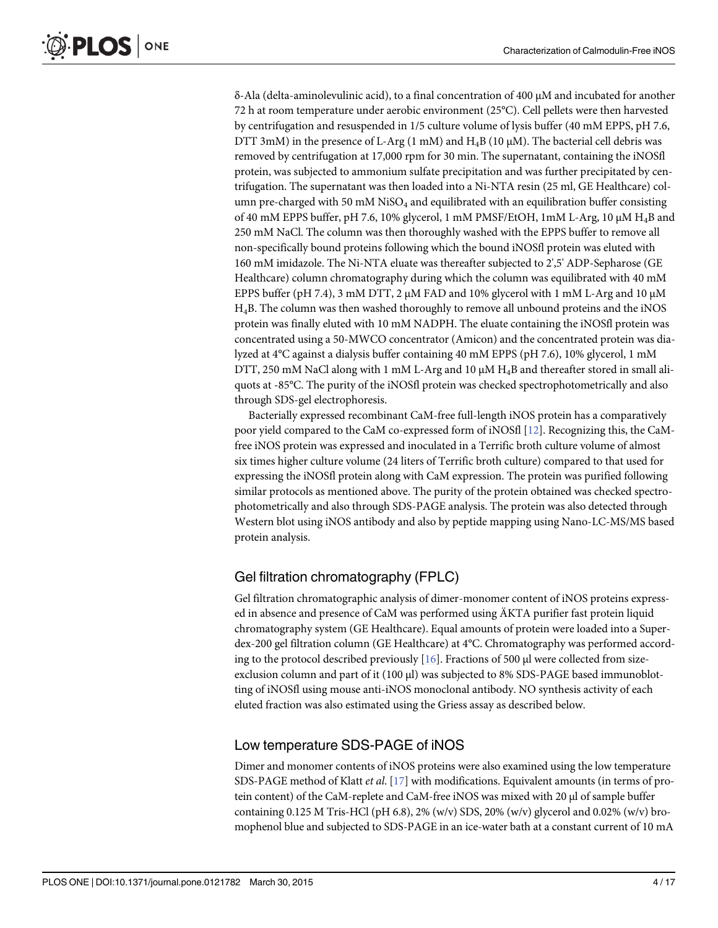<span id="page-3-0"></span>δ-Ala (delta-aminolevulinic acid), to a final concentration of 400 μM and incubated for another 72 h at room temperature under aerobic environment (25°C). Cell pellets were then harvested by centrifugation and resuspended in 1/5 culture volume of lysis buffer (40 mM EPPS, pH 7.6, DTT 3mM) in the presence of L-Arg (1 mM) and  $H_4B$  (10  $\mu$ M). The bacterial cell debris was removed by centrifugation at 17,000 rpm for 30 min. The supernatant, containing the iNOSfl protein, was subjected to ammonium sulfate precipitation and was further precipitated by centrifugation. The supernatant was then loaded into a Ni-NTA resin (25 ml, GE Healthcare) column pre-charged with 50 mM  $NiSO<sub>4</sub>$  and equilibrated with an equilibration buffer consisting of 40 mM EPPS buffer, pH 7.6, 10% glycerol, 1 mM PMSF/EtOH, 1mM L-Arg, 10 μM H4B and 250 mM NaCl. The column was then thoroughly washed with the EPPS buffer to remove all non-specifically bound proteins following which the bound iNOSfl protein was eluted with 160 mM imidazole. The Ni-NTA eluate was thereafter subjected to 2',5' ADP-Sepharose (GE Healthcare) column chromatography during which the column was equilibrated with 40 mM EPPS buffer (pH 7.4), 3 mM DTT, 2  $\mu$ M FAD and 10% glycerol with 1 mM L-Arg and 10  $\mu$ M H4B. The column was then washed thoroughly to remove all unbound proteins and the iNOS protein was finally eluted with 10 mM NADPH. The eluate containing the iNOSfl protein was concentrated using a 50-MWCO concentrator (Amicon) and the concentrated protein was dialyzed at 4°C against a dialysis buffer containing 40 mM EPPS (pH 7.6), 10% glycerol, 1 mM DTT, 250 mM NaCl along with 1 mM L-Arg and 10  $\mu$ M H<sub>4</sub>B and thereafter stored in small aliquots at -85°C. The purity of the iNOSfl protein was checked spectrophotometrically and also through SDS-gel electrophoresis.

Bacterially expressed recombinant CaM-free full-length iNOS protein has a comparatively poor yield compared to the CaM co-expressed form of iNOSfl [\[12\]](#page-16-0). Recognizing this, the CaMfree iNOS protein was expressed and inoculated in a Terrific broth culture volume of almost six times higher culture volume (24 liters of Terrific broth culture) compared to that used for expressing the iNOSfl protein along with CaM expression. The protein was purified following similar protocols as mentioned above. The purity of the protein obtained was checked spectrophotometrically and also through SDS-PAGE analysis. The protein was also detected through Western blot using iNOS antibody and also by peptide mapping using Nano-LC-MS/MS based protein analysis.

# Gel filtration chromatography (FPLC)

Gel filtration chromatographic analysis of dimer-monomer content of iNOS proteins expressed in absence and presence of CaM was performed using ÄKTA purifier fast protein liquid chromatography system (GE Healthcare). Equal amounts of protein were loaded into a Superdex-200 gel filtration column (GE Healthcare) at 4°C. Chromatography was performed according to the protocol described previously [\[16](#page-16-0)]. Fractions of 500 μl were collected from sizeexclusion column and part of it (100 μl) was subjected to 8% SDS-PAGE based immunoblotting of iNOSfl using mouse anti-iNOS monoclonal antibody. NO synthesis activity of each eluted fraction was also estimated using the Griess assay as described below.

# Low temperature SDS-PAGE of iNOS

Dimer and monomer contents of iNOS proteins were also examined using the low temperature SDS-PAGE method of Klatt et al. [[17](#page-16-0)] with modifications. Equivalent amounts (in terms of protein content) of the CaM-replete and CaM-free iNOS was mixed with 20 μl of sample buffer containing 0.125 M Tris-HCl (pH 6.8), 2% (w/v) SDS, 20% (w/v) glycerol and 0.02% (w/v) bromophenol blue and subjected to SDS-PAGE in an ice-water bath at a constant current of 10 mA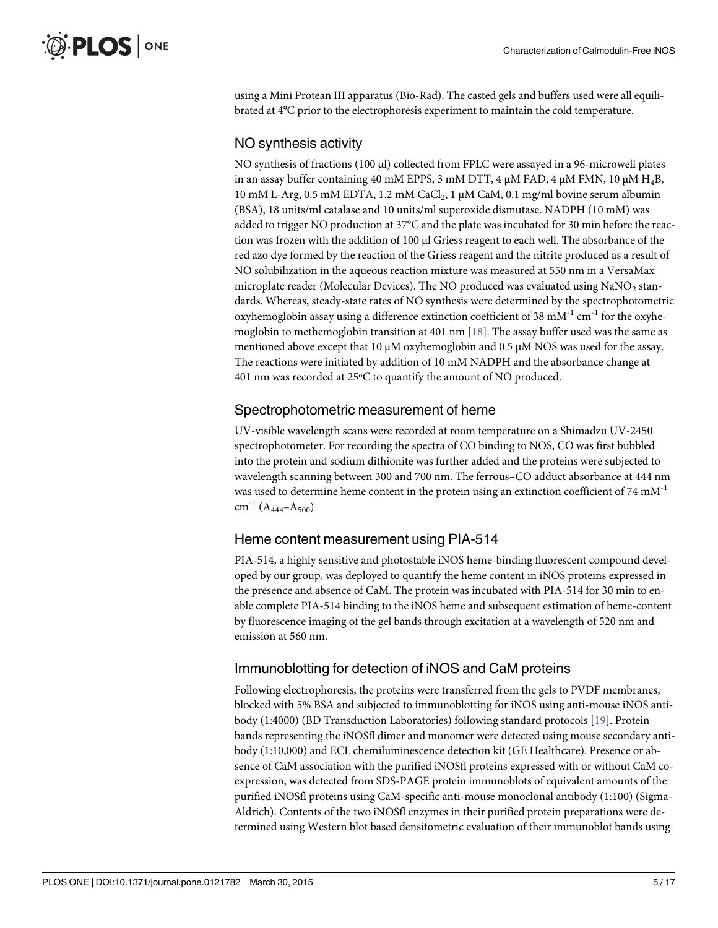<span id="page-4-0"></span>using a Mini Protean III apparatus (Bio-Rad). The casted gels and buffers used were all equilibrated at 4°C prior to the electrophoresis experiment to maintain the cold temperature.

#### NO synthesis activity

NO synthesis of fractions (100 μl) collected from FPLC were assayed in a 96-microwell plates in an assay buffer containing 40 mM EPPS, 3 mM DTT, 4  $\mu$ M FAD, 4  $\mu$ M FMN, 10  $\mu$ M H<sub>4</sub>B,  $10 \text{ mM } L$ -Arg, 0.5 mM EDTA, 1.2 mM CaCl<sub>2</sub>, 1 μM CaM, 0.1 mg/ml bovine serum albumin (BSA), 18 units/ml catalase and 10 units/ml superoxide dismutase. NADPH (10 mM) was added to trigger NO production at 37°C and the plate was incubated for 30 min before the reaction was frozen with the addition of 100 μl Griess reagent to each well. The absorbance of the red azo dye formed by the reaction of the Griess reagent and the nitrite produced as a result of NO solubilization in the aqueous reaction mixture was measured at 550 nm in a VersaMax microplate reader (Molecular Devices). The NO produced was evaluated using  $NaNO<sub>2</sub>$  standards. Whereas, steady-state rates of NO synthesis were determined by the spectrophotometric oxyhemoglobin assay using a difference extinction coefficient of 38 mM<sup>-1</sup> cm<sup>-1</sup> for the oxyhemoglobin to methemoglobin transition at 401 nm  $[18]$ . The assay buffer used was the same as mentioned above except that 10  $\mu$ M oxyhemoglobin and 0.5  $\mu$ M NOS was used for the assay. The reactions were initiated by addition of 10 mM NADPH and the absorbance change at 401 nm was recorded at 25ºC to quantify the amount of NO produced.

#### Spectrophotometric measurement of heme

UV-visible wavelength scans were recorded at room temperature on a Shimadzu UV-2450 spectrophotometer. For recording the spectra of CO binding to NOS, CO was first bubbled into the protein and sodium dithionite was further added and the proteins were subjected to wavelength scanning between 300 and 700 nm. The ferrous–CO adduct absorbance at 444 nm was used to determine heme content in the protein using an extinction coefficient of 74 mM<sup>-1</sup> cm<sup>-1</sup> (A<sub>444</sub>–A<sub>500</sub>)

#### Heme content measurement using PIA-514

PIA-514, a highly sensitive and photostable iNOS heme-binding fluorescent compound developed by our group, was deployed to quantify the heme content in iNOS proteins expressed in the presence and absence of CaM. The protein was incubated with PIA-514 for 30 min to enable complete PIA-514 binding to the iNOS heme and subsequent estimation of heme-content by fluorescence imaging of the gel bands through excitation at a wavelength of 520 nm and emission at 560 nm.

#### Immunoblotting for detection of iNOS and CaM proteins

Following electrophoresis, the proteins were transferred from the gels to PVDF membranes, blocked with 5% BSA and subjected to immunoblotting for iNOS using anti-mouse iNOS antibody (1:4000) (BD Transduction Laboratories) following standard protocols [\[19\]](#page-16-0). Protein bands representing the iNOSfl dimer and monomer were detected using mouse secondary antibody (1:10,000) and ECL chemiluminescence detection kit (GE Healthcare). Presence or absence of CaM association with the purified iNOSfl proteins expressed with or without CaM coexpression, was detected from SDS-PAGE protein immunoblots of equivalent amounts of the purified iNOSfl proteins using CaM-specific anti-mouse monoclonal antibody (1:100) (Sigma-Aldrich). Contents of the two iNOSfl enzymes in their purified protein preparations were determined using Western blot based densitometric evaluation of their immunoblot bands using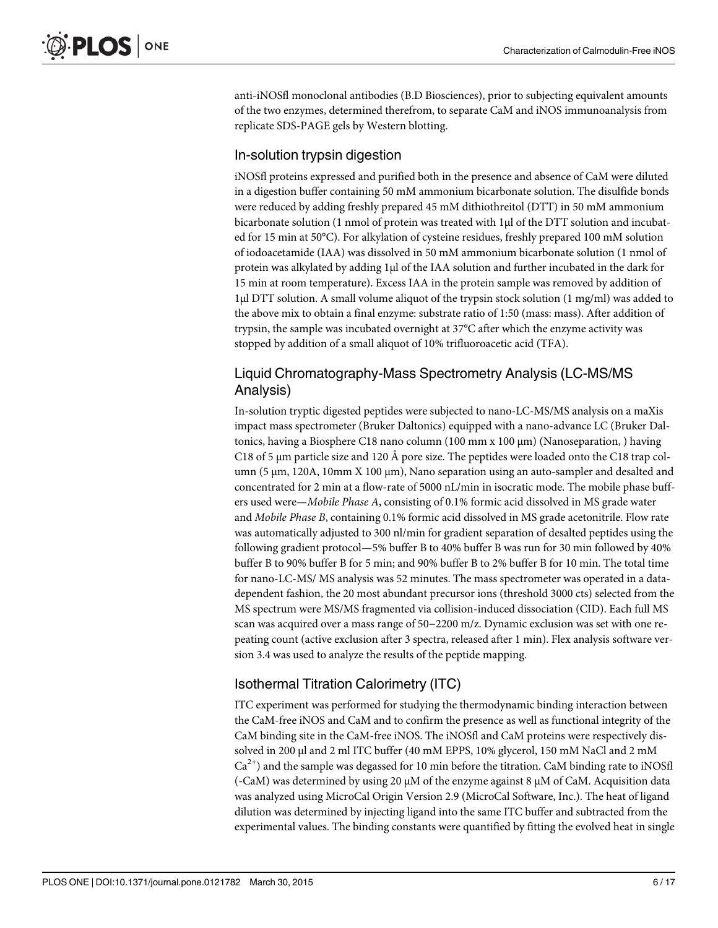anti-iNOSfl monoclonal antibodies (B.D Biosciences), prior to subjecting equivalent amounts of the two enzymes, determined therefrom, to separate CaM and iNOS immunoanalysis from replicate SDS-PAGE gels by Western blotting.

### In-solution trypsin digestion

iNOSfl proteins expressed and purified both in the presence and absence of CaM were diluted in a digestion buffer containing 50 mM ammonium bicarbonate solution. The disulfide bonds were reduced by adding freshly prepared 45 mM dithiothreitol (DTT) in 50 mM ammonium bicarbonate solution (1 nmol of protein was treated with 1μl of the DTT solution and incubated for 15 min at 50°C). For alkylation of cysteine residues, freshly prepared 100 mM solution of iodoacetamide (IAA) was dissolved in 50 mM ammonium bicarbonate solution (1 nmol of protein was alkylated by adding 1μl of the IAA solution and further incubated in the dark for 15 min at room temperature). Excess IAA in the protein sample was removed by addition of 1μl DTT solution. A small volume aliquot of the trypsin stock solution (1 mg/ml) was added to the above mix to obtain a final enzyme: substrate ratio of 1:50 (mass: mass). After addition of trypsin, the sample was incubated overnight at 37°C after which the enzyme activity was stopped by addition of a small aliquot of 10% trifluoroacetic acid (TFA).

## Liquid Chromatography-Mass Spectrometry Analysis (LC-MS/MS Analysis)

In-solution tryptic digested peptides were subjected to nano-LC-MS/MS analysis on a maXis impact mass spectrometer (Bruker Daltonics) equipped with a nano-advance LC (Bruker Daltonics, having a Biosphere C18 nano column (100 mm x 100 μm) (Nanoseparation, ) having C18 of 5 μm particle size and 120 Å pore size. The peptides were loaded onto the C18 trap column (5 μm, 120A, 10mm X 100 μm), Nano separation using an auto-sampler and desalted and concentrated for 2 min at a flow-rate of 5000 nL/min in isocratic mode. The mobile phase buffers used were—Mobile Phase A, consisting of 0.1% formic acid dissolved in MS grade water and Mobile Phase B, containing 0.1% formic acid dissolved in MS grade acetonitrile. Flow rate was automatically adjusted to 300 nl/min for gradient separation of desalted peptides using the following gradient protocol—5% buffer B to 40% buffer B was run for 30 min followed by 40% buffer B to 90% buffer B for 5 min; and 90% buffer B to 2% buffer B for 10 min. The total time for nano-LC-MS/ MS analysis was 52 minutes. The mass spectrometer was operated in a datadependent fashion, the 20 most abundant precursor ions (threshold 3000 cts) selected from the MS spectrum were MS/MS fragmented via collision-induced dissociation (CID). Each full MS scan was acquired over a mass range of 50−2200 m/z. Dynamic exclusion was set with one repeating count (active exclusion after 3 spectra, released after 1 min). Flex analysis software version 3.4 was used to analyze the results of the peptide mapping.

# Isothermal Titration Calorimetry (ITC)

ITC experiment was performed for studying the thermodynamic binding interaction between the CaM-free iNOS and CaM and to confirm the presence as well as functional integrity of the CaM binding site in the CaM-free iNOS. The iNOSfl and CaM proteins were respectively dissolved in 200 μl and 2 ml ITC buffer (40 mM EPPS, 10% glycerol, 150 mM NaCl and 2 mM  $Ca<sup>2+</sup>$ ) and the sample was degassed for 10 min before the titration. CaM binding rate to iNOSfl (-CaM) was determined by using 20 μM of the enzyme against 8 μM of CaM. Acquisition data was analyzed using MicroCal Origin Version 2.9 (MicroCal Software, Inc.). The heat of ligand dilution was determined by injecting ligand into the same ITC buffer and subtracted from the experimental values. The binding constants were quantified by fitting the evolved heat in single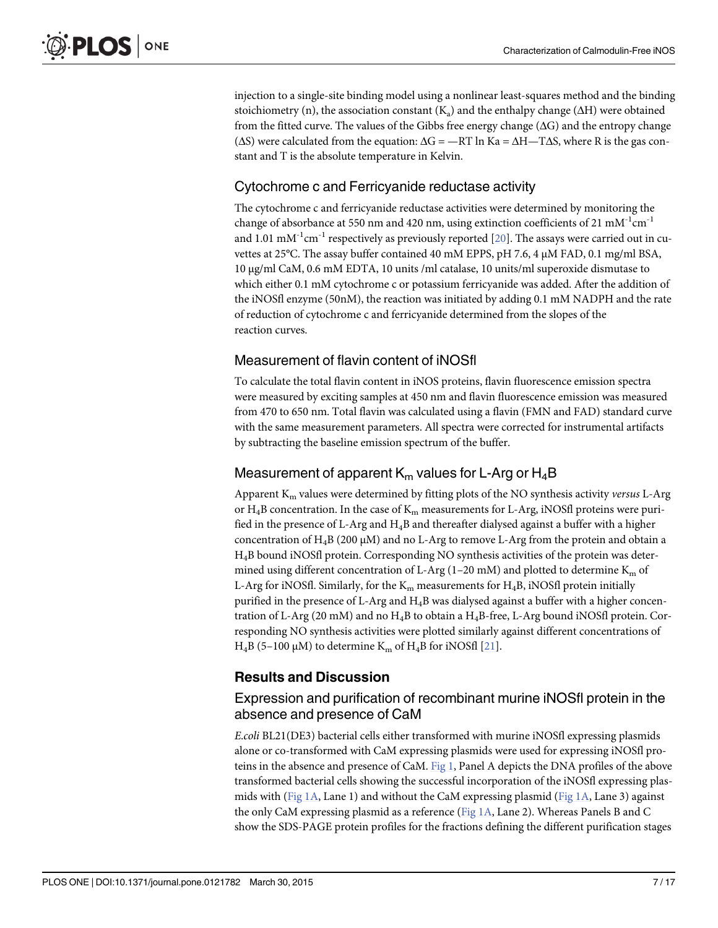<span id="page-6-0"></span>injection to a single-site binding model using a nonlinear least-squares method and the binding stoichiometry (n), the association constant  $(K_a)$  and the enthalpy change ( $\Delta H$ ) were obtained from the fitted curve. The values of the Gibbs free energy change  $(\Delta G)$  and the entropy change ( $ΔS$ ) were calculated from the equation:  $ΔG = -RT ln Ka = ΔH - TΔS$ , where R is the gas constant and T is the absolute temperature in Kelvin.

### Cytochrome c and Ferricyanide reductase activity

The cytochrome c and ferricyanide reductase activities were determined by monitoring the change of absorbance at 550 nm and 420 nm, using extinction coefficients of 21  $mM^{-1}cm^{-1}$ and 1.01 mM<sup>-1</sup>cm<sup>-1</sup> respectively as previously reported  $[20]$ . The assays were carried out in cuvettes at 25°C. The assay buffer contained 40 mM EPPS, pH 7.6, 4 μM FAD, 0.1 mg/ml BSA, 10 μg/ml CaM, 0.6 mM EDTA, 10 units /ml catalase, 10 units/ml superoxide dismutase to which either 0.1 mM cytochrome c or potassium ferricyanide was added. After the addition of the iNOSfl enzyme (50nM), the reaction was initiated by adding 0.1 mM NADPH and the rate of reduction of cytochrome c and ferricyanide determined from the slopes of the reaction curves.

#### Measurement of flavin content of iNOSfl

To calculate the total flavin content in iNOS proteins, flavin fluorescence emission spectra were measured by exciting samples at 450 nm and flavin fluorescence emission was measured from 470 to 650 nm. Total flavin was calculated using a flavin (FMN and FAD) standard curve with the same measurement parameters. All spectra were corrected for instrumental artifacts by subtracting the baseline emission spectrum of the buffer.

# Measurement of apparent  $K_m$  values for L-Arg or  $H_4B$

Apparent  $K<sub>m</sub>$  values were determined by fitting plots of the NO synthesis activity versus L-Arg or  $H_4B$  concentration. In the case of  $K_m$  measurements for L-Arg, iNOSfl proteins were purified in the presence of L-Arg and  $H_4B$  and thereafter dialysed against a buffer with a higher concentration of  $H_4B$  (200 μM) and no L-Arg to remove L-Arg from the protein and obtain a H4B bound iNOSfl protein. Corresponding NO synthesis activities of the protein was determined using different concentration of L-Arg (1–20 mM) and plotted to determine  $K_m$  of L-Arg for iNOSfl. Similarly, for the  $K_m$  measurements for  $H_4B$ , iNOSfl protein initially purified in the presence of L-Arg and H4B was dialysed against a buffer with a higher concentration of L-Arg (20 mM) and no H4B to obtain a H4B-free, L-Arg bound iNOSfl protein. Corresponding NO synthesis activities were plotted similarly against different concentrations of H<sub>4</sub>B (5–100 μM) to determine K<sub>m</sub> of H<sub>4</sub>B for iNOSfl [\[21\]](#page-16-0).

#### Results and Discussion

#### Expression and purification of recombinant murine iNOSfl protein in the absence and presence of CaM

E.coli BL21(DE3) bacterial cells either transformed with murine iNOSfl expressing plasmids alone or co-transformed with CaM expressing plasmids were used for expressing iNOSfl proteins in the absence and presence of CaM. [Fig 1,](#page-7-0) Panel A depicts the DNA profiles of the above transformed bacterial cells showing the successful incorporation of the iNOSfl expressing plas-mids with [\(Fig 1A](#page-7-0), Lane 1) and without the CaM expressing plasmid [\(Fig 1A,](#page-7-0) Lane 3) against the only CaM expressing plasmid as a reference [\(Fig 1A,](#page-7-0) Lane 2). Whereas Panels B and C show the SDS-PAGE protein profiles for the fractions defining the different purification stages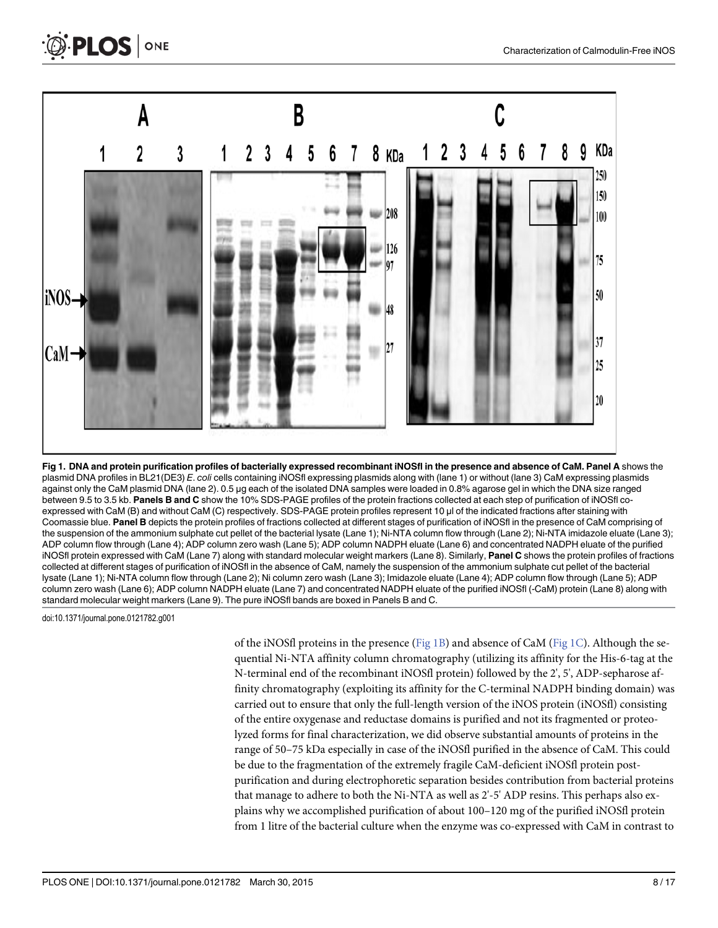<span id="page-7-0"></span>



plasmid DNA profiles in BL21(DE3) E. coli cells containing iNOSfl expressing plasmids along with (lane 1) or without (lane 3) CaM expressing plasmids against only the CaM plasmid DNA (lane 2). 0.5 μg each of the isolated DNA samples were loaded in 0.8% agarose gel in which the DNA size ranged between 9.5 to 3.5 kb. Panels B and C show the 10% SDS-PAGE profiles of the protein fractions collected at each step of purification of iNOSfl coexpressed with CaM (B) and without CaM (C) respectively. SDS-PAGE protein profiles represent 10 μl of the indicated fractions after staining with Coomassie blue. Panel B depicts the protein profiles of fractions collected at different stages of purification of iNOSfl in the presence of CaM comprising of the suspension of the ammonium sulphate cut pellet of the bacterial lysate (Lane 1); Ni-NTA column flow through (Lane 2); Ni-NTA imidazole eluate (Lane 3); ADP column flow through (Lane 4); ADP column zero wash (Lane 5); ADP column NADPH eluate (Lane 6) and concentrated NADPH eluate of the purified iNOSfl protein expressed with CaM (Lane 7) along with standard molecular weight markers (Lane 8). Similarly, Panel C shows the protein profiles of fractions collected at different stages of purification of iNOSfl in the absence of CaM, namely the suspension of the ammonium sulphate cut pellet of the bacterial lysate (Lane 1); Ni-NTA column flow through (Lane 2); Ni column zero wash (Lane 3); Imidazole eluate (Lane 4); ADP column flow through (Lane 5); ADP column zero wash (Lane 6); ADP column NADPH eluate (Lane 7) and concentrated NADPH eluate of the purified iNOSfl (-CaM) protein (Lane 8) along with standard molecular weight markers (Lane 9). The pure iNOSfl bands are boxed in Panels B and C.

doi:10.1371/journal.pone.0121782.g001

of the iNOSfl proteins in the presence (Fig 1B) and absence of CaM (Fig 1C). Although the sequential Ni-NTA affinity column chromatography (utilizing its affinity for the His-6-tag at the N-terminal end of the recombinant iNOSfl protein) followed by the 2', 5', ADP-sepharose affinity chromatography (exploiting its affinity for the C-terminal NADPH binding domain) was carried out to ensure that only the full-length version of the iNOS protein (iNOSfl) consisting of the entire oxygenase and reductase domains is purified and not its fragmented or proteolyzed forms for final characterization, we did observe substantial amounts of proteins in the range of 50–75 kDa especially in case of the iNOSfl purified in the absence of CaM. This could be due to the fragmentation of the extremely fragile CaM-deficient iNOSfl protein postpurification and during electrophoretic separation besides contribution from bacterial proteins that manage to adhere to both the Ni-NTA as well as 2'-5' ADP resins. This perhaps also explains why we accomplished purification of about 100–120 mg of the purified iNOSfl protein from 1 litre of the bacterial culture when the enzyme was co-expressed with CaM in contrast to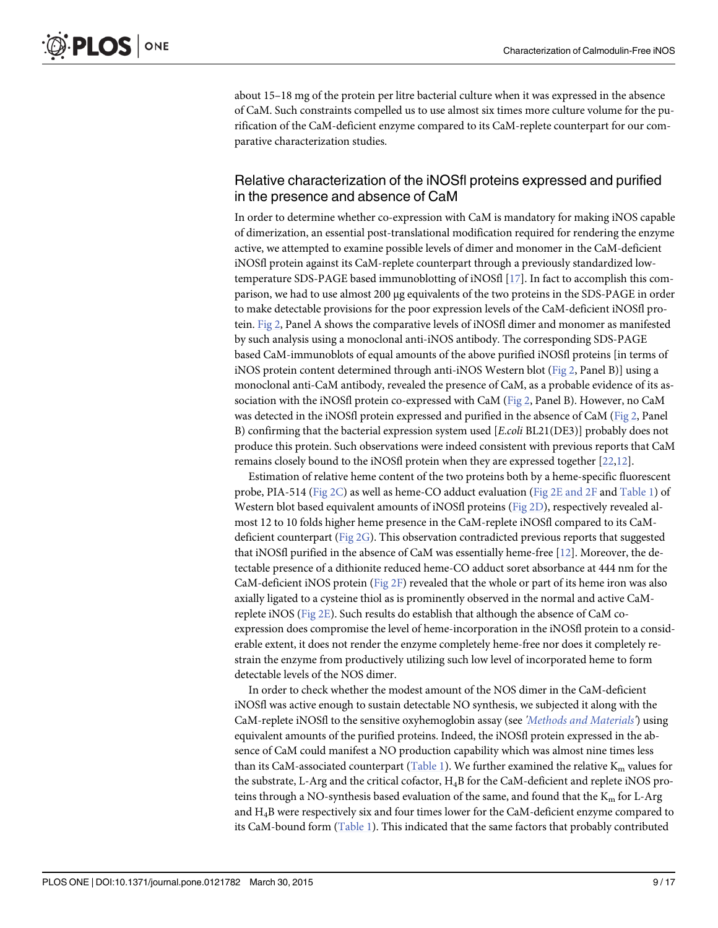<span id="page-8-0"></span>about 15–18 mg of the protein per litre bacterial culture when it was expressed in the absence of CaM. Such constraints compelled us to use almost six times more culture volume for the purification of the CaM-deficient enzyme compared to its CaM-replete counterpart for our comparative characterization studies.

#### Relative characterization of the iNOSfl proteins expressed and purified in the presence and absence of CaM

In order to determine whether co-expression with CaM is mandatory for making iNOS capable of dimerization, an essential post-translational modification required for rendering the enzyme active, we attempted to examine possible levels of dimer and monomer in the CaM-deficient iNOSfl protein against its CaM-replete counterpart through a previously standardized lowtemperature SDS-PAGE based immunoblotting of iNOSfl [\[17](#page-16-0)]. In fact to accomplish this comparison, we had to use almost 200 μg equivalents of the two proteins in the SDS-PAGE in order to make detectable provisions for the poor expression levels of the CaM-deficient iNOSfl protein. [Fig 2](#page-9-0), Panel A shows the comparative levels of iNOSfl dimer and monomer as manifested by such analysis using a monoclonal anti-iNOS antibody. The corresponding SDS-PAGE based CaM-immunoblots of equal amounts of the above purified iNOSfl proteins [in terms of iNOS protein content determined through anti-iNOS Western blot ( $Fig 2$ , Panel B)] using a monoclonal anti-CaM antibody, revealed the presence of CaM, as a probable evidence of its association with the iNOSfl protein co-expressed with CaM ([Fig 2](#page-9-0), Panel B). However, no CaM was detected in the iNOSfl protein expressed and purified in the absence of CaM ([Fig 2](#page-9-0), Panel B) confirming that the bacterial expression system used [E.coli BL21(DE3)] probably does not produce this protein. Such observations were indeed consistent with previous reports that CaM remains closely bound to the iNOSfl protein when they are expressed together [[22,12](#page-16-0)].

Estimation of relative heme content of the two proteins both by a heme-specific fluorescent probe, PIA-514 ([Fig 2C\)](#page-9-0) as well as heme-CO adduct evaluation ([Fig 2E and 2F](#page-9-0) and [Table 1](#page-9-0)) of Western blot based equivalent amounts of iNOSfl proteins ([Fig 2D\)](#page-9-0), respectively revealed almost 12 to 10 folds higher heme presence in the CaM-replete iNOSfl compared to its CaMdeficient counterpart [\(Fig 2G\)](#page-9-0). This observation contradicted previous reports that suggested that iNOSfl purified in the absence of CaM was essentially heme-free [\[12](#page-16-0)]. Moreover, the detectable presence of a dithionite reduced heme-CO adduct soret absorbance at 444 nm for the CaM-deficient iNOS protein ([Fig 2F\)](#page-9-0) revealed that the whole or part of its heme iron was also axially ligated to a cysteine thiol as is prominently observed in the normal and active CaMreplete iNOS ([Fig 2E\)](#page-9-0). Such results do establish that although the absence of CaM coexpression does compromise the level of heme-incorporation in the iNOSfl protein to a considerable extent, it does not render the enzyme completely heme-free nor does it completely restrain the enzyme from productively utilizing such low level of incorporated heme to form detectable levels of the NOS dimer.

In order to check whether the modest amount of the NOS dimer in the CaM-deficient iNOSfl was active enough to sustain detectable NO synthesis, we subjected it along with the CaM-replete iNOSfl to the sensitive oxyhemoglobin assay (see ['Methods and Materials](#page-2-0)') using equivalent amounts of the purified proteins. Indeed, the iNOSfl protein expressed in the absence of CaM could manifest a NO production capability which was almost nine times less than its CaM-associated counterpart [\(Table 1](#page-9-0)). We further examined the relative  $K_m$  values for the substrate, L-Arg and the critical cofactor, H4B for the CaM-deficient and replete iNOS proteins through a NO-synthesis based evaluation of the same, and found that the  $K_m$  for L-Arg and H4B were respectively six and four times lower for the CaM-deficient enzyme compared to its CaM-bound form [\(Table 1](#page-9-0)). This indicated that the same factors that probably contributed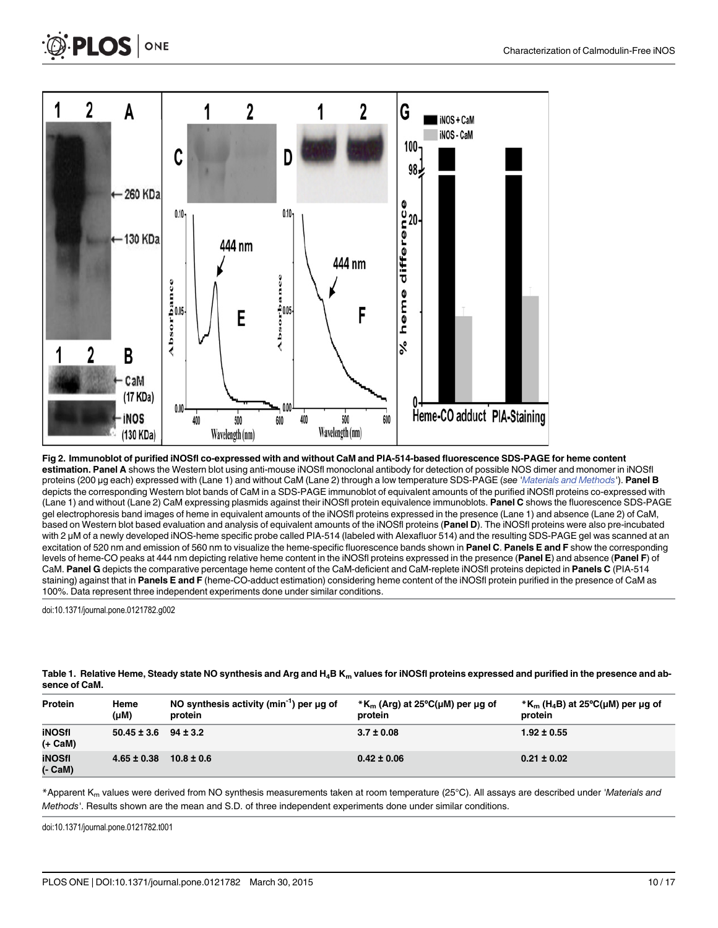<span id="page-9-0"></span>

[Fig 2. I](#page-8-0)mmunoblot of purified iNOSfl co-expressed with and without CaM and PIA-514-based fluorescence SDS-PAGE for heme content estimation. Panel A shows the Western blot using anti-mouse iNOSfl monoclonal antibody for detection of possible NOS dimer and monomer in iNOSfl proteins (200 µg each) expressed with (Lane 1) and without CaM (Lane 2) through a low temperature SDS-PAGE (see '*[Materials and Methods](#page-2-0)'*). Panel B depicts the corresponding Western blot bands of CaM in a SDS-PAGE immunoblot of equivalent amounts of the purified iNOSfl proteins co-expressed with (Lane 1) and without (Lane 2) CaM expressing plasmids against their iNOSfl protein equivalence immunoblots. Panel C shows the fluorescence SDS-PAGE gel electrophoresis band images of heme in equivalent amounts of the iNOSfl proteins expressed in the presence (Lane 1) and absence (Lane 2) of CaM, based on Western blot based evaluation and analysis of equivalent amounts of the iNOSfl proteins (Panel D). The iNOSfl proteins were also pre-incubated with 2 μM of a newly developed iNOS-heme specific probe called PIA-514 (labeled with Alexafluor 514) and the resulting SDS-PAGE gel was scanned at an excitation of 520 nm and emission of 560 nm to visualize the heme-specific fluorescence bands shown in Panel C. Panels E and F show the corresponding levels of heme-CO peaks at 444 nm depicting relative heme content in the iNOSfl proteins expressed in the presence (Panel E) and absence (Panel F) of CaM. Panel G depicts the comparative percentage heme content of the CaM-deficient and CaM-replete iNOSfl proteins depicted in Panels C (PIA-514 staining) against that in Panels E and F (heme-CO-adduct estimation) considering heme content of the iNOSfl protein purified in the presence of CaM as 100%. Data represent three independent experiments done under similar conditions.

500

Wavelength (nm)

400

600

600

Heme-CO adduct PIA-Staining

doi:10.1371/journal.pone.0121782.g002

CaM (17 KDa)

inos

(130 KDa)

 $0.00$ 

400

500

Wavelength (nm)

|               |  |  | Table 1. Relative Heme, Steady state NO synthesis and Arg and $H_4B K_m$ values for iNOSfl proteins expressed and purified in the presence and ab- |  |
|---------------|--|--|----------------------------------------------------------------------------------------------------------------------------------------------------|--|
| sence of CaM. |  |  |                                                                                                                                                    |  |

| Protein                  | Heme<br>(µM)                 | NO synthesis activity (min <sup>-1</sup> ) per $\mu$ q of<br>protein | $*K_{m}$ (Arg) at 25°C( $\mu$ M) per $\mu$ g of<br>protein | $*K_{m}$ (H <sub>4</sub> B) at 25°C(µM) per µg of<br>protein |
|--------------------------|------------------------------|----------------------------------------------------------------------|------------------------------------------------------------|--------------------------------------------------------------|
| iNOSfl<br>(+ CaM)        | $50.45 \pm 3.6$ $94 \pm 3.2$ |                                                                      | $3.7 \pm 0.08$                                             | $1.92 \pm 0.55$                                              |
| <b>iNOSfl</b><br>(- CaM) | $4.65 \pm 0.38$              | $10.8 \pm 0.6$                                                       | $0.42 \pm 0.06$                                            | $0.21 \pm 0.02$                                              |

\*Apparent K<sub>m</sub> values were derived from NO synthesis measurements taken at room temperature (25°C). All assays are described under 'Materials and Methods'. Results shown are the mean and S.D. of three independent experiments done under similar conditions.

doi:10.1371/journal.pone.0121782.t001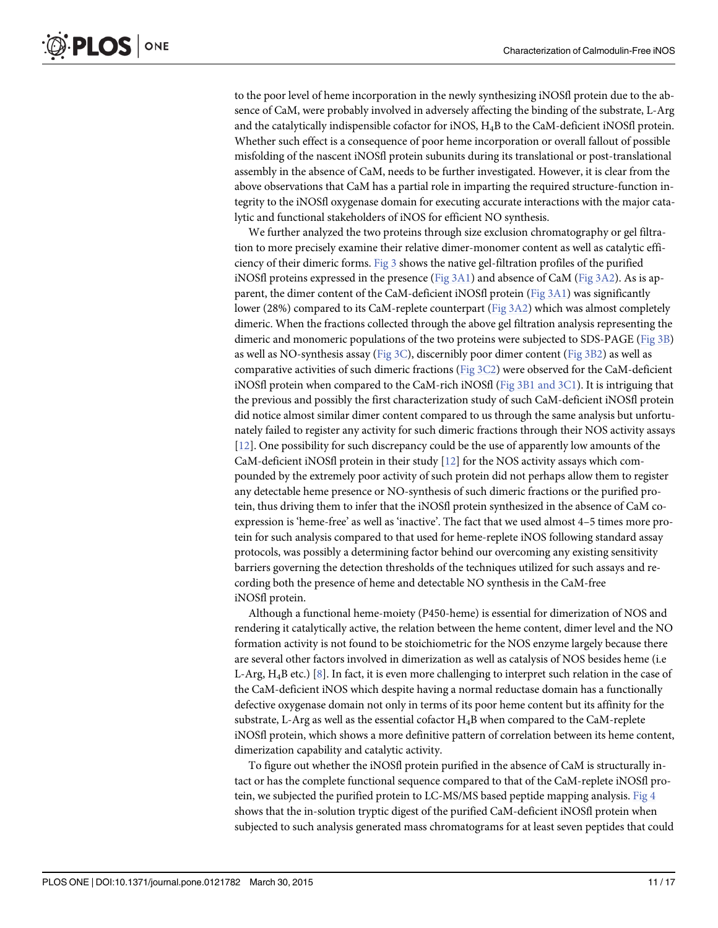<span id="page-10-0"></span>to the poor level of heme incorporation in the newly synthesizing iNOSfl protein due to the absence of CaM, were probably involved in adversely affecting the binding of the substrate, L-Arg and the catalytically indispensible cofactor for iNOS, H4B to the CaM-deficient iNOSfl protein. Whether such effect is a consequence of poor heme incorporation or overall fallout of possible misfolding of the nascent iNOSfl protein subunits during its translational or post-translational assembly in the absence of CaM, needs to be further investigated. However, it is clear from the above observations that CaM has a partial role in imparting the required structure-function integrity to the iNOSfl oxygenase domain for executing accurate interactions with the major catalytic and functional stakeholders of iNOS for efficient NO synthesis.

We further analyzed the two proteins through size exclusion chromatography or gel filtration to more precisely examine their relative dimer-monomer content as well as catalytic efficiency of their dimeric forms. [Fig 3](#page-11-0) shows the native gel-filtration profiles of the purified iNOSfl proteins expressed in the presence ([Fig 3A1\)](#page-11-0) and absence of CaM [\(Fig 3A2](#page-11-0)). As is apparent, the dimer content of the CaM-deficient iNOSfl protein ([Fig 3A1\)](#page-11-0) was significantly lower (28%) compared to its CaM-replete counterpart ( $Fig 3A2$ ) which was almost completely dimeric. When the fractions collected through the above gel filtration analysis representing the dimeric and monomeric populations of the two proteins were subjected to SDS-PAGE [\(Fig 3B\)](#page-11-0) as well as NO-synthesis assay (Fig  $3C$ ), discernibly poor dimer content (Fig  $3B2$ ) as well as comparative activities of such dimeric fractions [\(Fig 3C2](#page-11-0)) were observed for the CaM-deficient iNOSfl protein when compared to the CaM-rich iNOSfl ( $Fig 3B1$  and  $3C1$ ). It is intriguing that the previous and possibly the first characterization study of such CaM-deficient iNOSfl protein did notice almost similar dimer content compared to us through the same analysis but unfortunately failed to register any activity for such dimeric fractions through their NOS activity assays [\[12](#page-16-0)]. One possibility for such discrepancy could be the use of apparently low amounts of the CaM-deficient iNOSfl protein in their study [\[12\]](#page-16-0) for the NOS activity assays which compounded by the extremely poor activity of such protein did not perhaps allow them to register any detectable heme presence or NO-synthesis of such dimeric fractions or the purified protein, thus driving them to infer that the iNOSfl protein synthesized in the absence of CaM coexpression is 'heme-free' as well as 'inactive'. The fact that we used almost 4–5 times more protein for such analysis compared to that used for heme-replete iNOS following standard assay protocols, was possibly a determining factor behind our overcoming any existing sensitivity barriers governing the detection thresholds of the techniques utilized for such assays and recording both the presence of heme and detectable NO synthesis in the CaM-free iNOSfl protein.

Although a functional heme-moiety (P450-heme) is essential for dimerization of NOS and rendering it catalytically active, the relation between the heme content, dimer level and the NO formation activity is not found to be stoichiometric for the NOS enzyme largely because there are several other factors involved in dimerization as well as catalysis of NOS besides heme (i.e L-Arg,  $H_4B$  etc.) [\[8](#page-16-0)]. In fact, it is even more challenging to interpret such relation in the case of the CaM-deficient iNOS which despite having a normal reductase domain has a functionally defective oxygenase domain not only in terms of its poor heme content but its affinity for the substrate, L-Arg as well as the essential cofactor  $H_4B$  when compared to the CaM-replete iNOSfl protein, which shows a more definitive pattern of correlation between its heme content, dimerization capability and catalytic activity.

To figure out whether the iNOSfl protein purified in the absence of CaM is structurally intact or has the complete functional sequence compared to that of the CaM-replete iNOSfl protein, we subjected the purified protein to LC-MS/MS based peptide mapping analysis. [Fig 4](#page-12-0) shows that the in-solution tryptic digest of the purified CaM-deficient iNOSfl protein when subjected to such analysis generated mass chromatograms for at least seven peptides that could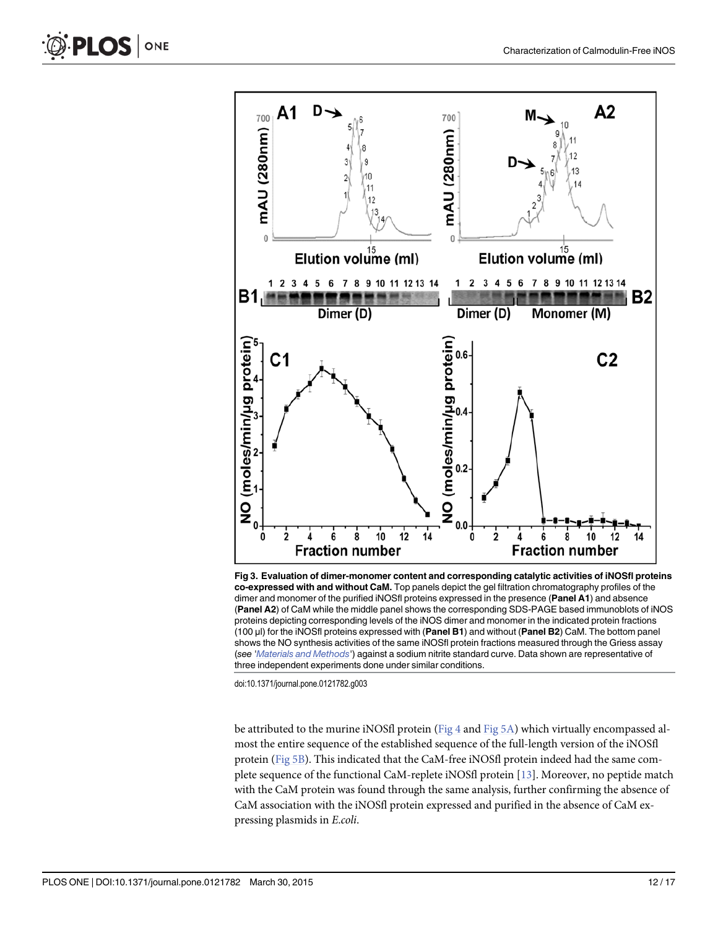<span id="page-11-0"></span>

[Fig 3. E](#page-10-0)valuation of dimer-monomer content and corresponding catalytic activities of iNOSfl proteins co-expressed with and without CaM. Top panels depict the gel filtration chromatography profiles of the dimer and monomer of the purified iNOSfl proteins expressed in the presence (Panel A1) and absence (Panel A2) of CaM while the middle panel shows the corresponding SDS-PAGE based immunoblots of iNOS proteins depicting corresponding levels of the iNOS dimer and monomer in the indicated protein fractions (100 μl) for the iNOSfl proteins expressed with (Panel B1) and without (Panel B2) CaM. The bottom panel shows the NO synthesis activities of the same iNOSfl protein fractions measured through the Griess assay (see '[Materials and Methods](#page-2-0)') against a sodium nitrite standard curve. Data shown are representative of three independent experiments done under similar conditions.

doi:10.1371/journal.pone.0121782.g003

be attributed to the murine iNOSfl protein ( $Fig 4$  and  $Fig 5A$ ) which virtually encompassed almost the entire sequence of the established sequence of the full-length version of the iNOSfl protein ([Fig 5B\)](#page-13-0). This indicated that the CaM-free iNOSfl protein indeed had the same complete sequence of the functional CaM-replete iNOSfl protein [\[13\]](#page-16-0). Moreover, no peptide match with the CaM protein was found through the same analysis, further confirming the absence of CaM association with the iNOSfl protein expressed and purified in the absence of CaM expressing plasmids in E.coli.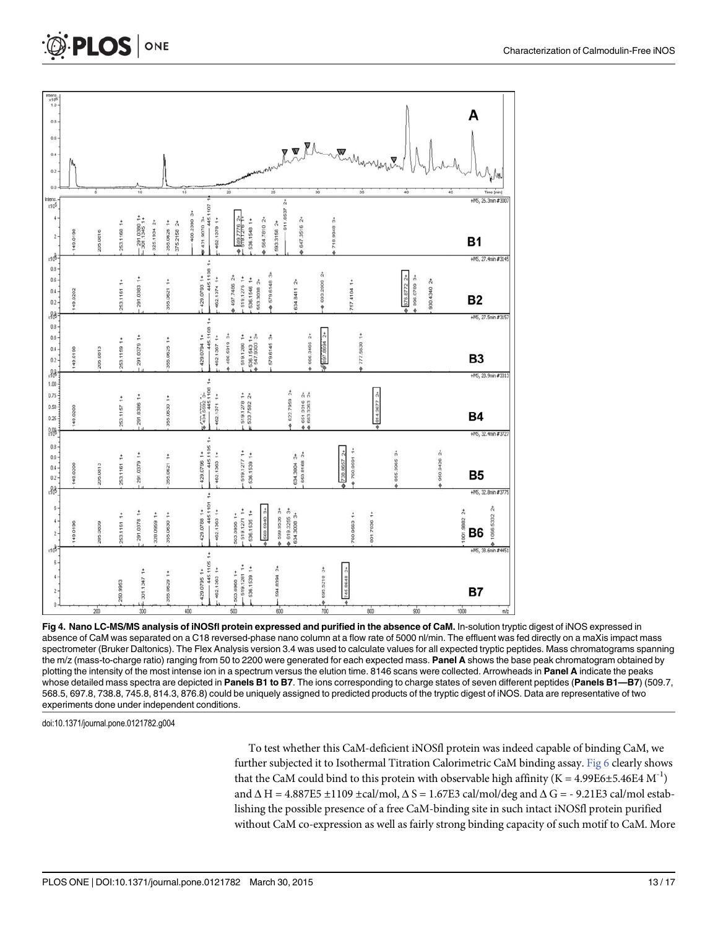<span id="page-12-0"></span>

| $x106$<br>$x106$<br>0.8<br>$0.6 -$<br>$0.4 -$<br>0.2<br>0.0                |          | ś        |             | 10                              |                            | 15          |                                                            | $\dot{z}$                                                             | $\dot{z}$                      |                                                 | $\dot{30}$           | Mr Elmer Mungar<br>35                |                  | 40                             | 45            | Time [min]                                                 |
|----------------------------------------------------------------------------|----------|----------|-------------|---------------------------------|----------------------------|-------------|------------------------------------------------------------|-----------------------------------------------------------------------|--------------------------------|-------------------------------------------------|----------------------|--------------------------------------|------------------|--------------------------------|---------------|------------------------------------------------------------|
| ntens<br>x10 <sup>5</sup>                                                  |          |          |             |                                 |                            |             |                                                            |                                                                       |                                |                                                 |                      |                                      |                  |                                |               | +M5, 26.3min #3007                                         |
| 4<br>$\mathbf{2}$<br>80x                                                   | 149.0198 | 205.0816 | 253.1160 1+ | $-291.0380$ 1+<br>301.1345 1+   | 355.0626 1+<br>325.1934 2+ | 375.2158 2+ | $-445.1107$ 1<br>408.2390 3+<br>431,9070 3+<br>462.1379 1+ | +2 921.609<br>536,1548 1+<br>$\ddot{\phi}$                            | 564.7810 2+<br>593.3158 2+     | 611.8537 2+<br>♦ 647,3516 2+                    |                      | +2 8186'81∠ +                        |                  |                                |               | <b>B1</b><br>+MS, 27.4min #3145                            |
| 0.8 <sub>0</sub><br>$0.6 \cdot$<br>0.4<br>$0.2 -$                          | 149.0202 |          | 253,1161 1+ | 291.0383 1+                     | 355.0621 1+                |             | $-445.11081+$<br>429.0793 1+<br>462.1374 1+                | +2 997.7486<br>519.1275 1+<br>536.1546 1+<br>553.3038 2+              | ♦ 579.6148 3+                  | 634,8411 2+                                     | ♦ 693,2909 2+        | 757.4104 1+                          |                  | ● 876.8772 2+<br>₿ 896.0789 3+ | +Z 0+6+066    | B <sub>2</sub>                                             |
| $-88$<br>$0.8 -$<br>0.6<br>$0.4 -$<br>0.2                                  | 49.0198  | 205.0813 | 253.1159 1+ | +1 6250 162                     | 355.0625 1+                |             | $-445.11081+$<br>429.0794 1+<br>462.1367 1+                | 486.5919 3+<br>$-1.087136114$<br>- 536.1543 1+<br>+ 547.9303 3+       | 579.6145 3+                    | 666.3465 2+                                     | ₿ 697.6694 2+        | $*1.069011$                          |                  |                                |               | +M5, 27.5min #3157<br>B <sub>3</sub>                       |
| 88x<br>1.00 <sub>1</sub><br>$0.75 -$<br>$0.50 -$<br>$0.25 -$               | 149.0200 |          | 253,1157 1+ | 291.0386 1+                     | 355.0630 1+                |             | $\frac{6430.3392}{45.1108}$ 1+<br>462.1371 1+              | $-519.1278$ 1+<br>$\pi$ 533.7582 2+                                   |                                | ♦ 622.7959 2+<br>◆ 651.3316 2+<br>◆ 663.3263 2+ |                      |                                      | 814.3677 2+<br>ō |                                |               | +M5, 28.9min #3313<br><b>B4</b>                            |
| 98<br>$0.8 -$<br>$0.6 -$<br>0.4<br>0.2                                     | 149.0200 | 205.0813 | 253.1161 1+ | 291.0379 1+                     | 355.0621 1+                |             | $-445.11051+$<br>429.0796 1+<br>462.1363 1+                | $-519.12771+$<br>536.1539 1+                                          |                                | 650.8168 2+<br>634.3004 3+                      |                      | ♦ 760,9591 1+<br>$\sqrt{738.86572+}$ |                  | ♦ 855,3965 3+                  | ♦ 950.9426 2+ | +M5, 32.4min #3727<br>B <sub>5</sub>                       |
| $-88$<br>$_{6}$<br>$\frac{4}{3}$<br>$\mathbf{2} \cdot$<br>x10 <sup>8</sup> | 149.0196 | 205.0809 | 253.1161 1+ | 291.0378 1+                     | 328.0959 1+<br>355.0630 1+ |             | $-445.11011 +$<br>429.0788 1+<br>462.1363 1+               | 519.1271 1+<br>536,1535 1+<br>503.0956 1+                             | ♦ 568.5940 3+<br>♦ 599.9536 3+ | ● 619.3255 3+<br>634.3008 3+                    |                      | 760.9563 1+                          | 801.7936 1+      |                                |               | +M5, 32.8min #3775<br>å<br>1001.9882 2+<br>1066.5332<br>B6 |
| $_{\rm 6}$<br>$\ddot{4}$<br>$\mathbf{2}$<br>Ō                              |          | 200      | 250,9953    | 301.1347 1+<br>$\overline{300}$ | 355.0629 1+                | 400         | 445.1105 1+<br>462.1363 1+<br>429.0795 1+                  | $-519.12811+$<br>536,1539 1+<br>503.0968 1+<br>$\overrightarrow{500}$ | 594.8394 2+<br>600             |                                                 | ♦ 695.5210 3+<br>700 | 745,8648 2+<br>٠                     | 800              | 900                            |               | +M5, 38.6min #4451<br>B7<br>1000<br>m/z                    |

[Fig 4. N](#page-10-0)ano LC-MS/MS analysis of iNOSfl protein expressed and purified in the absence of CaM. In-solution tryptic digest of iNOS expressed in absence of CaM was separated on a C18 reversed-phase nano column at a flow rate of 5000 nl/min. The effluent was fed directly on a maXis impact mass spectrometer (Bruker Daltonics). The Flex Analysis version 3.4 was used to calculate values for all expected tryptic peptides. Mass chromatograms spanning the m/z (mass-to-charge ratio) ranging from 50 to 2200 were generated for each expected mass. Panel A shows the base peak chromatogram obtained by plotting the intensity of the most intense ion in a spectrum versus the elution time. 8146 scans were collected. Arrowheads in Panel A indicate the peaks whose detailed mass spectra are depicted in Panels B1 to B7. The ions corresponding to charge states of seven different peptides (Panels B1-B7) (509.7, 568.5, 697.8, 738.8, 745.8, 814.3, 876.8) could be uniquely assigned to predicted products of the tryptic digest of iNOS. Data are representative of two experiments done under independent conditions.

doi:10.1371/journal.pone.0121782.g004

To test whether this CaM-deficient iNOSfl protein was indeed capable of binding CaM, we further subjected it to Isothermal Titration Calorimetric CaM binding assay. [Fig 6](#page-14-0) clearly shows that the CaM could bind to this protein with observable high affinity (K = 4.99E6±5.46E4  $\text{M}^{-1}$ ) and  $\Delta H = 4.887E5 \pm 1109 \pm \text{cal/mol}$ ,  $\Delta S = 1.67E3$  cal/mol/deg and  $\Delta G = -9.21E3$  cal/mol establishing the possible presence of a free CaM-binding site in such intact iNOSfl protein purified without CaM co-expression as well as fairly strong binding capacity of such motif to CaM. More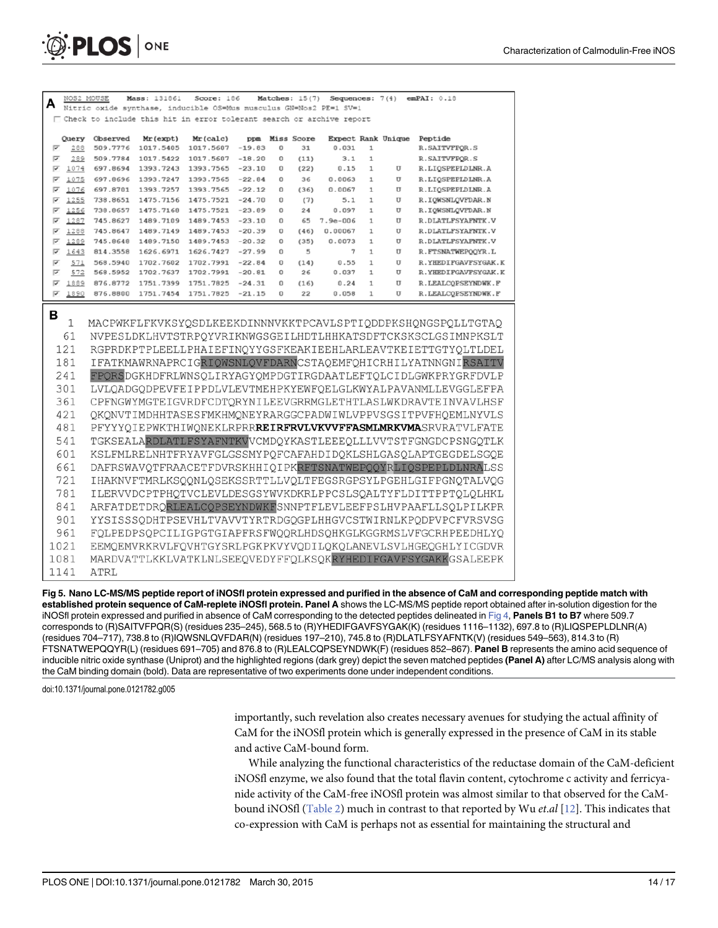<span id="page-13-0"></span>

| A      | NOS2 MOUSE   |                        | Mass: 131861           | Score: 186                                                             |                      |        | Matches: $15(7)$ | Sequences: $7(4)$ |                              |                    | emPAI: 0.18 |                                                                                                                              |
|--------|--------------|------------------------|------------------------|------------------------------------------------------------------------|----------------------|--------|------------------|-------------------|------------------------------|--------------------|-------------|------------------------------------------------------------------------------------------------------------------------------|
|        |              | Nitric oxide synthase, |                        | inducible OS=Mus musculus GN=Nos2 PE=1 SV=1                            |                      |        |                  |                   |                              |                    |             |                                                                                                                              |
|        |              |                        |                        | □ Check to include this hit in error tolerant search or archive report |                      |        |                  |                   |                              |                    |             |                                                                                                                              |
|        | Query        | Observed               | Mr (expt)              | Mr (calc)                                                              |                      |        | ppm Miss Score   |                   |                              | Expect Rank Unique | Peptide     |                                                                                                                              |
| ⊽      | 288          | 509.7776               | 1017.5405              | 1017.5607                                                              | $-19.83$             | 0      | 31               | 0.031             | $\mathbf{1}$                 |                    |             | R. SAITVFPOR. S                                                                                                              |
| ⊽      | 289          | 509.7784               | 1017.5422              | 1017.5607                                                              | $-18.20$             | 0      | (11)             | 3.1               | $\mathbf{1}$                 |                    |             | R. SAITVFPQR. S                                                                                                              |
| ⊽      | 1074         | 697.8694               | 1393.7243              | 1393.7565                                                              | $-23.10$             | 0      | (22)             | 0.15              | $\mathbf{1}$                 | U                  |             | R.LIQSPEPLDLNR.A                                                                                                             |
| ⊽      | 1075         | 697.8696               | 1393.7247              | 1393.7565                                                              | $-22.84$             | 0      | 36               | 0.0063            | $\mathbf{1}$                 | $\mathbf U$        |             | R.LIQSPEPLDLNR.A                                                                                                             |
| ⊽      | 1076         | 697.8701               | 1393.7257              | 1393.7565                                                              | $-22.12$             | 0      | (36)             | 0.0067            | $\mathbf{1}$<br>$\mathbf{1}$ | U<br>U             |             | R.LIQSPEPLDLNR.A                                                                                                             |
| ☞<br>⊽ | 1255<br>1256 | 738.8651<br>738.8657   | 1475.7156<br>1475.7168 | 1475.7521<br>1475.7521                                                 | $-24.70$<br>$-23.89$ | 0<br>0 | (7)<br>24        | 5.1<br>0.097      | $\mathbf{1}$                 | $\mathbf{U}$       |             | R. IQWSNLQVFDAR.N<br>R. IQWSNLQVFDAR.N                                                                                       |
| ⊽      | 1287         | 745.8627               | 1489.7109              | 1489.7453                                                              | $-23.10$             | 0      | 65               | $7.9e - 006$      | $\mathbf{1}$                 | U                  |             | R.DLATLFSYAFNTK.V                                                                                                            |
| ⊽      | 1288         | 745.8647               | 1489.7149              | 1489.7453                                                              | $-20.39$             | 0      | (46)             | 0.00067           | $\mathbf{1}$                 | $\overline{U}$     |             | R.DLATLFSYAFNTK.V                                                                                                            |
| ⊽      | 1289         | 745.8648               | 1489.7150              | 1489.7453                                                              | $-20.32$             | 0      | (35)             | 0.0073            | $\mathbf{1}$                 | $\mathbf{U}$       |             | R.DLATLFSYAFNTK.V                                                                                                            |
| ⊽      | 1643         | 814.3558               | 1626.6971              | 1626.7427                                                              | $-27.99$             | 0      | 5                | 7                 | $\mathbf{1}$                 | U                  |             | R. FTSNATWEPQQYR.L                                                                                                           |
| ⊽      | 571          | 568.5940               | 1702.7602              | 1702.7991                                                              | $-22.84$             | 0      | (14)             | 0.55              | $\mathbf{1}$                 | $\overline{U}$     |             | R. YHEDIFGAVFSYGAK.K                                                                                                         |
| ⊽      | 572          | 568.5952               | 1702.7637              | 1702.7991                                                              | $-20.81$             | 0      | 26               | 0.037             | $\mathbf{1}$                 | U                  |             | R. YHEDIFGAVFSYGAK.K                                                                                                         |
| ⊽      | 1889         | 876.8772               | 1751.7399              | 1751.7825                                                              | $-24.31$             | 0      | (16)             | 0.24              | $\mathbf{1}$                 | $\mathbf U$        |             | R. LEALCOPSEYNDWK. F                                                                                                         |
| ⊽      | 1890         | 876.8800               | 1751.7454              | 1751.7825                                                              | $-21.15$             | 0      | 22               | 0.058             | $\mathbf{1}$                 | $\mathbf{U}$       |             | R. LEALCOPSEYNDWK. F                                                                                                         |
| в      | 1<br>61      |                        |                        |                                                                        |                      |        |                  |                   |                              |                    |             | MACPWKFLFKVKSYQSDLKEEKDINNNVKKTPCAVLSPTIQDDPKSHQNGSPQLLTGTAQ<br>NVPESLDKLHVTSTRPQYVRIKNWGSGEILHDTLHHKATSDFTCKSKSCLGSIMNPKSLT |
|        | 121          |                        |                        |                                                                        |                      |        |                  |                   |                              |                    |             | RGPRDKPTPLEELLPHAIEFINOYYGSFKEAKIEEHLARLEAVTKEIETTGTYOLTLDEL                                                                 |
|        | 181          |                        |                        |                                                                        |                      |        |                  |                   |                              |                    |             | IFATKMAWRNAPRCIGRIQWSNLQVFDARNCSTAQEMFQHICRHILYATNNGNIRSAITV                                                                 |
|        | 241          |                        |                        |                                                                        |                      |        |                  |                   |                              |                    |             | FPORSDGKHDFRLWNSQLIRYAGYQMPDGTIRGDAATLEFTQLCIDLGWKPRYGRFDVLP                                                                 |
|        | 301          |                        |                        |                                                                        |                      |        |                  |                   |                              |                    |             | LVLQADGQDPEVFEIPPDLVLEVTMEHPKYEWFQELGLKWYALPAVANMLLEVGGLEFPA                                                                 |
|        | 361          |                        |                        |                                                                        |                      |        |                  |                   |                              |                    |             | CPFNGWYMGTEIGVRDFCDTORYNILEEVGRRMGLETHTLASLWKDRAVTEINVAVLHSF                                                                 |
|        | 421          |                        |                        |                                                                        |                      |        |                  |                   |                              |                    |             |                                                                                                                              |
|        |              |                        |                        |                                                                        |                      |        |                  |                   |                              |                    |             | QKQNVTIMDHHTASESFMKHMQNEYRARGGCPADWIWLVPPVSGSITPVFHQEMLNYVLS                                                                 |
|        | 481          |                        |                        |                                                                        |                      |        |                  |                   |                              |                    |             | PFYYYQIEPWKTHIWQNEKLRPRR <b>REIRFRVLVKVVFFASMLMRKVMA</b> SRVRATVLFATE                                                        |
|        | 541          |                        |                        |                                                                        |                      |        |                  |                   |                              |                    |             | TGKSEALARDLATLFSYAFNTKVVCMDQYKASTLEEEQLLLVVTSTFGNGDCPSNGQTLK                                                                 |
|        | 601          |                        |                        |                                                                        |                      |        |                  |                   |                              |                    |             | KSLFMLRELNHTFRYAVFGLGSSMYPQFCAFAHDIDQKLSHLGASQLAPTGEGDELSGQE                                                                 |
|        | 661          |                        |                        |                                                                        |                      |        |                  |                   |                              |                    |             | DAFRSWAVQTFRAACETFDVRSKHHIQIPKRFTSNATWEPQQYRLIQSPEPLDLNRALSS                                                                 |
|        | 721          |                        |                        |                                                                        |                      |        |                  |                   |                              |                    |             | IHAKNVFTMRLKSQQNLQSEKSSRTTLLVQLTFEGSRGPSYLPGEHLGIFPGNQTALVQG                                                                 |
|        | 781          |                        |                        |                                                                        |                      |        |                  |                   |                              |                    |             | ILERVVDCPTPHQTVCLEVLDESGSYWVKDKRLPPCSLSQALTYFLDITTPPTQLQLHKL                                                                 |
|        | 841          |                        |                        |                                                                        |                      |        |                  |                   |                              |                    |             | ARFATDETDRQRLEALCQPSEYNDWKFSNNPTFLEVLEEFPSLHVPAAFLLSQLPILKPR                                                                 |
|        | 901          |                        |                        |                                                                        |                      |        |                  |                   |                              |                    |             | YYSISSSQDHTPSEVHLTVAVVTYRTRDGQGPLHHGVCSTWIRNLKPQDPVPCFVRSVSG                                                                 |
|        |              |                        |                        |                                                                        |                      |        |                  |                   |                              |                    |             |                                                                                                                              |
|        | 961          |                        |                        |                                                                        |                      |        |                  |                   |                              |                    |             | FOLPEDPSQPCILIGPGTGIAPFRSFWQQRLHDSQHKGLKGGRMSLVFGCRHPEEDHLYQ                                                                 |
|        | 1021         |                        |                        |                                                                        |                      |        |                  |                   |                              |                    |             | EEMQEMVRKRVLFQVHTGYSRLPGKPKVYVQDILQKQLANEVLSVLHGEQGHLYICGDVR                                                                 |
|        | 1081         |                        |                        |                                                                        |                      |        |                  |                   |                              |                    |             | MARDVATTLKKLVATKLNLSEEQVEDYFFQLKSQKRYHEDIFGAVFSYGAKKGSALEEPK                                                                 |
|        | 1141         | ATRL                   |                        |                                                                        |                      |        |                  |                   |                              |                    |             |                                                                                                                              |

[Fig 5. N](#page-11-0)ano LC-MS/MS peptide report of iNOSfl protein expressed and purified in the absence of CaM and corresponding peptide match with established protein sequence of CaM-replete iNOSfl protein. Panel A shows the LC-MS/MS peptide report obtained after in-solution digestion for the iNOSfl protein expressed and purified in absence of CaM corresponding to the detected peptides delineated in [Fig 4,](#page-12-0) Panels B1 to B7 where 509.7 corresponds to (R)SAITVFPQR(S) (residues 235–245), 568.5 to (R)YHEDIFGAVFSYGAK(K) (residues 1116–1132), 697.8 to (R)LIQSPEPLDLNR(A) (residues 704–717), 738.8 to (R)IQWSNLQVFDAR(N) (residues 197–210), 745.8 to (R)DLATLFSYAFNTK(V) (residues 549–563), 814.3 to (R) FTSNATWEPQQYR(L) (residues 691-705) and 876.8 to (R)LEALCQPSEYNDWK(F) (residues 852-867). Panel B represents the amino acid sequence of inducible nitric oxide synthase (Uniprot) and the highlighted regions (dark grey) depict the seven matched peptides (Panel A) after LC/MS analysis along with the CaM binding domain (bold). Data are representative of two experiments done under independent conditions.

doi:10.1371/journal.pone.0121782.g005

importantly, such revelation also creates necessary avenues for studying the actual affinity of CaM for the iNOSfl protein which is generally expressed in the presence of CaM in its stable and active CaM-bound form.

While analyzing the functional characteristics of the reductase domain of the CaM-deficient iNOSfl enzyme, we also found that the total flavin content, cytochrome c activity and ferricyanide activity of the CaM-free iNOSfl protein was almost similar to that observed for the CaM-bound iNOSfl [\(Table 2](#page-14-0)) much in contrast to that reported by Wu *et.al* [\[12\]](#page-16-0). This indicates that co-expression with CaM is perhaps not as essential for maintaining the structural and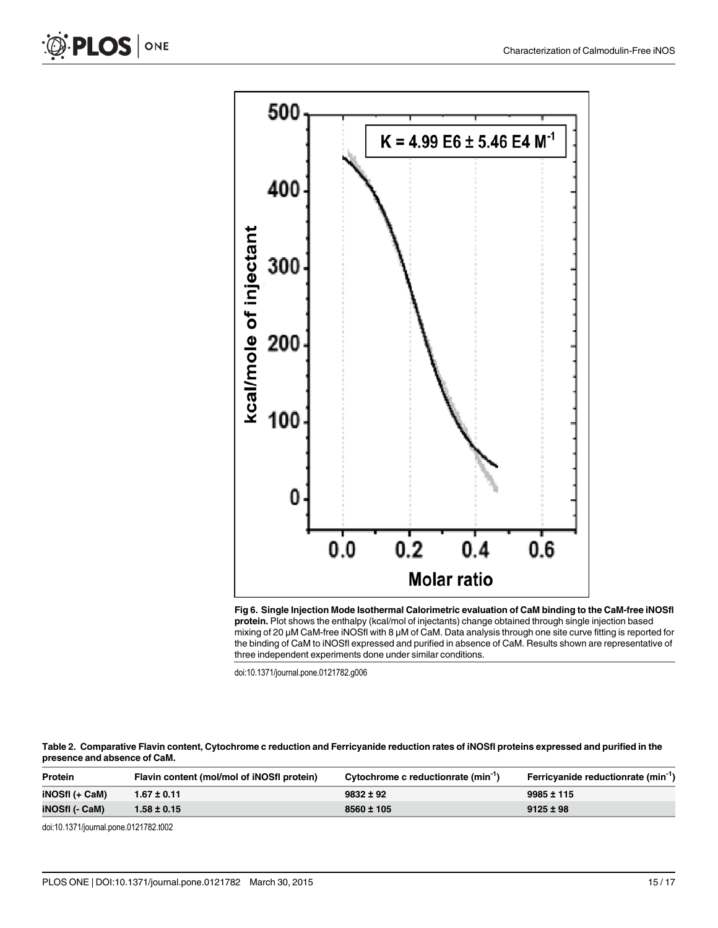<span id="page-14-0"></span>

[Fig 6. S](#page-12-0)ingle Injection Mode Isothermal Calorimetric evaluation of CaM binding to the CaM-free iNOSfl protein. Plot shows the enthalpy (kcal/mol of injectants) change obtained through single injection based mixing of 20 μM CaM-free iNOSfl with 8 μM of CaM. Data analysis through one site curve fitting is reported for the binding of CaM to iNOSfl expressed and purified in absence of CaM. Results shown are representative of three independent experiments done under similar conditions.

doi:10.1371/journal.pone.0121782.g006

[Table 2.](#page-13-0) Comparative Flavin content, Cytochrome c reduction and Ferricyanide reduction rates of iNOSfl proteins expressed and purified in the presence and absence of CaM.

| <b>Protein</b>        | Flavin content (mol/mol of iNOSfl protein) | Cytochrome c reductionrate (min <sup>-1</sup> ) | Ferricyanide reductionrate (min <sup>-1</sup> ) |
|-----------------------|--------------------------------------------|-------------------------------------------------|-------------------------------------------------|
| iNOSfI (+ CaM)        | $1.67 \pm 0.11$                            | $9832 \pm 92$                                   | $9985 \pm 115$                                  |
| <b>iNOSfI (- CaM)</b> | $1.58 \pm 0.15$                            | $8560 \pm 105$                                  | $9125 \pm 98$                                   |
|                       |                                            |                                                 |                                                 |

doi:10.1371/journal.pone.0121782.t002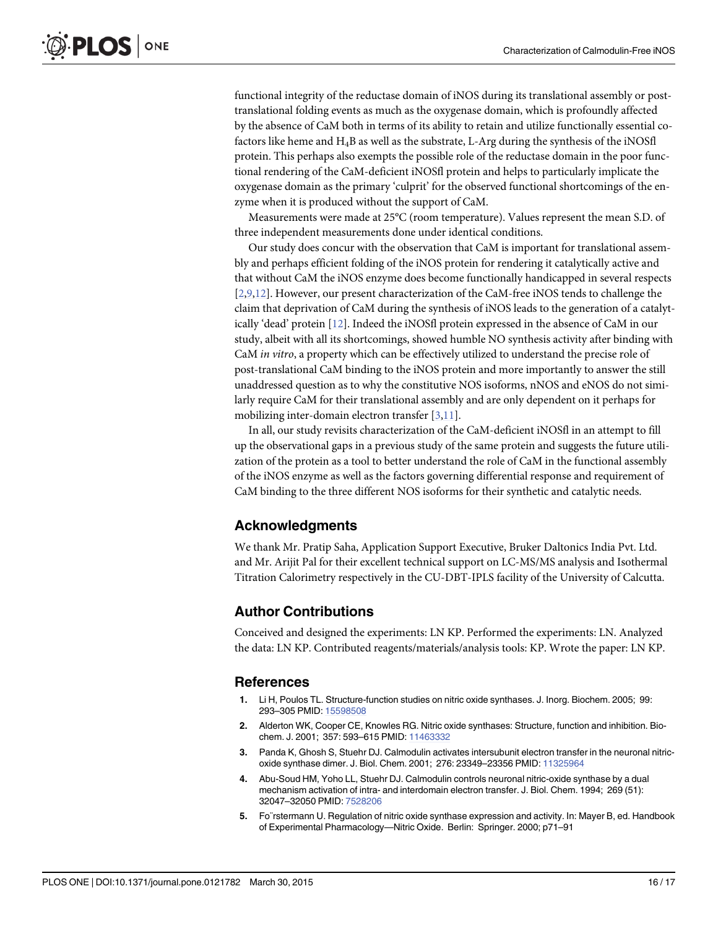<span id="page-15-0"></span>functional integrity of the reductase domain of iNOS during its translational assembly or posttranslational folding events as much as the oxygenase domain, which is profoundly affected by the absence of CaM both in terms of its ability to retain and utilize functionally essential cofactors like heme and H4B as well as the substrate, L-Arg during the synthesis of the iNOSfl protein. This perhaps also exempts the possible role of the reductase domain in the poor functional rendering of the CaM-deficient iNOSfl protein and helps to particularly implicate the oxygenase domain as the primary 'culprit' for the observed functional shortcomings of the enzyme when it is produced without the support of CaM.

Measurements were made at 25°C (room temperature). Values represent the mean S.D. of three independent measurements done under identical conditions.

Our study does concur with the observation that CaM is important for translational assembly and perhaps efficient folding of the iNOS protein for rendering it catalytically active and that without CaM the iNOS enzyme does become functionally handicapped in several respects [2[,9,12\]](#page-16-0). However, our present characterization of the CaM-free iNOS tends to challenge the claim that deprivation of CaM during the synthesis of iNOS leads to the generation of a catalytically 'dead' protein [\[12\]](#page-16-0). Indeed the iNOSfl protein expressed in the absence of CaM in our study, albeit with all its shortcomings, showed humble NO synthesis activity after binding with CaM in vitro, a property which can be effectively utilized to understand the precise role of post-translational CaM binding to the iNOS protein and more importantly to answer the still unaddressed question as to why the constitutive NOS isoforms, nNOS and eNOS do not similarly require CaM for their translational assembly and are only dependent on it perhaps for mobilizing inter-domain electron transfer [3,[11\]](#page-16-0).

In all, our study revisits characterization of the CaM-deficient iNOSfl in an attempt to fill up the observational gaps in a previous study of the same protein and suggests the future utilization of the protein as a tool to better understand the role of CaM in the functional assembly of the iNOS enzyme as well as the factors governing differential response and requirement of CaM binding to the three different NOS isoforms for their synthetic and catalytic needs.

#### Acknowledgments

We thank Mr. Pratip Saha, Application Support Executive, Bruker Daltonics India Pvt. Ltd. and Mr. Arijit Pal for their excellent technical support on LC-MS/MS analysis and Isothermal Titration Calorimetry respectively in the CU-DBT-IPLS facility of the University of Calcutta.

#### Author Contributions

Conceived and designed the experiments: LN KP. Performed the experiments: LN. Analyzed the data: LN KP. Contributed reagents/materials/analysis tools: KP. Wrote the paper: LN KP.

#### References

- [1.](#page-1-0) Li H, Poulos TL. Structure-function studies on nitric oxide synthases. J. Inorg. Biochem. 2005; 99: 293–305 PMID: [15598508](http://www.ncbi.nlm.nih.gov/pubmed/15598508)
- [2.](#page-1-0) Alderton WK, Cooper CE, Knowles RG. Nitric oxide synthases: Structure, function and inhibition. Biochem. J. 2001; 357: 593–615 PMID: [11463332](http://www.ncbi.nlm.nih.gov/pubmed/11463332)
- [3.](#page-1-0) Panda K, Ghosh S, Stuehr DJ. Calmodulin activates intersubunit electron transfer in the neuronal nitricoxide synthase dimer. J. Biol. Chem. 2001; 276: 23349–23356 PMID: [11325964](http://www.ncbi.nlm.nih.gov/pubmed/11325964)
- [4.](#page-1-0) Abu-Soud HM, Yoho LL, Stuehr DJ. Calmodulin controls neuronal nitric-oxide synthase by a dual mechanism activation of intra- and interdomain electron transfer. J. Biol. Chem. 1994; 269 (51): 32047–32050 PMID: [7528206](http://www.ncbi.nlm.nih.gov/pubmed/7528206)
- [5.](#page-1-0) Fo¨rstermann U. Regulation of nitric oxide synthase expression and activity. In: Mayer B, ed. Handbook of Experimental Pharmacology—Nitric Oxide. Berlin: Springer. 2000; p71–91